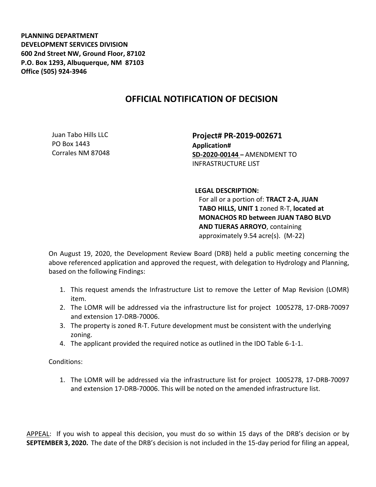**PLANNING DEPARTMENT DEVELOPMENT SERVICES DIVISION 600 2nd Street NW, Ground Floor, 87102 P.O. Box 1293, Albuquerque, NM 87103 Office (505) 924-3946** 

## **OFFICIAL NOTIFICATION OF DECISION**

Juan Tabo Hills LLC PO Box 1443 Corrales NM 87048

**Project# PR-2019-002671 Application# SD-2020-00144 –** AMENDMENT TO INFRASTRUCTURE LIST

## **LEGAL DESCRIPTION:**

For all or a portion of: **TRACT 2-A, JUAN TABO HILLS, UNIT 1** zoned R-T, **located at MONACHOS RD between JUAN TABO BLVD AND TIJERAS ARROYO**, containing approximately 9.54 acre(s). (M-22)

On August 19, 2020, the Development Review Board (DRB) held a public meeting concerning the above referenced application and approved the request, with delegation to Hydrology and Planning, based on the following Findings:

- 1. This request amends the Infrastructure List to remove the Letter of Map Revision (LOMR) item.
- 2. The LOMR will be addressed via the infrastructure list for project 1005278, 17-DRB-70097 and extension 17-DRB-70006.
- 3. The property is zoned R-T. Future development must be consistent with the underlying zoning.
- 4. The applicant provided the required notice as outlined in the IDO Table 6-1-1.

Conditions:

1. The LOMR will be addressed via the infrastructure list for project 1005278, 17-DRB-70097 and extension 17-DRB-70006. This will be noted on the amended infrastructure list.

APPEAL: If you wish to appeal this decision, you must do so within 15 days of the DRB's decision or by **SEPTEMBER 3, 2020.** The date of the DRB's decision is not included in the 15-day period for filing an appeal,